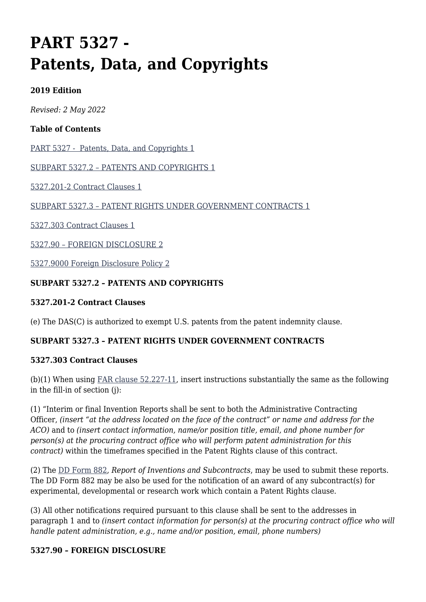# **PART 5327 - Patents, Data, and Copyrights**

# **2019 Edition**

*Revised: 2 May 2022*

# **Table of Contents**

[PART 5327 - Patents, Data, and Copyrights 1](#page--1-0)

[SUBPART 5327.2 – PATENTS AND COPYRIGHTS 1](#page--1-0)

[5327.201-2 Contract Clauses 1](#page--1-0)

[SUBPART 5327.3 – PATENT RIGHTS UNDER GOVERNMENT CONTRACTS 1](#page--1-0)

[5327.303 Contract Clauses 1](#page--1-0)

[5327.90 – FOREIGN DISCLOSURE 2](#page--1-0)

[5327.9000 Foreign Disclosure Policy 2](#page--1-0)

### **SUBPART 5327.2 – PATENTS AND COPYRIGHTS**

#### **5327.201-2 Contract Clauses**

(e) The DAS(C) is authorized to exempt U.S. patents from the patent indemnity clause.

#### **SUBPART 5327.3 – PATENT RIGHTS UNDER GOVERNMENT CONTRACTS**

#### **5327.303 Contract Clauses**

(b)(1) When using [FAR clause 52.227-11](https://www.acquisition.gov/far/part-52#FAR_52_227_11), insert instructions substantially the same as the following in the fill-in of section (j):

(1) "Interim or final Invention Reports shall be sent to both the Administrative Contracting Officer, *(insert "at the address located on the face of the contract" or name and address for the ACO)* and to *(insert contact information, name/or position title, email, and phone number for person(s) at the procuring contract office who will perform patent administration for this contract)* within the timeframes specified in the Patent Rights clause of this contract.

(2) The [DD Form 882,](http://www.esd.whs.mil/Portals/54/Documents/DD/forms/dd/dd0882.pdf) *Report of Inventions and Subcontracts*, may be used to submit these reports. The DD Form 882 may be also be used for the notification of an award of any subcontract(s) for experimental, developmental or research work which contain a Patent Rights clause.

(3) All other notifications required pursuant to this clause shall be sent to the addresses in paragraph 1 and to *(insert contact information for person(s) at the procuring contract office who will handle patent administration, e.g., name and/or position, email, phone numbers)*

#### **5327.90 – FOREIGN DISCLOSURE**